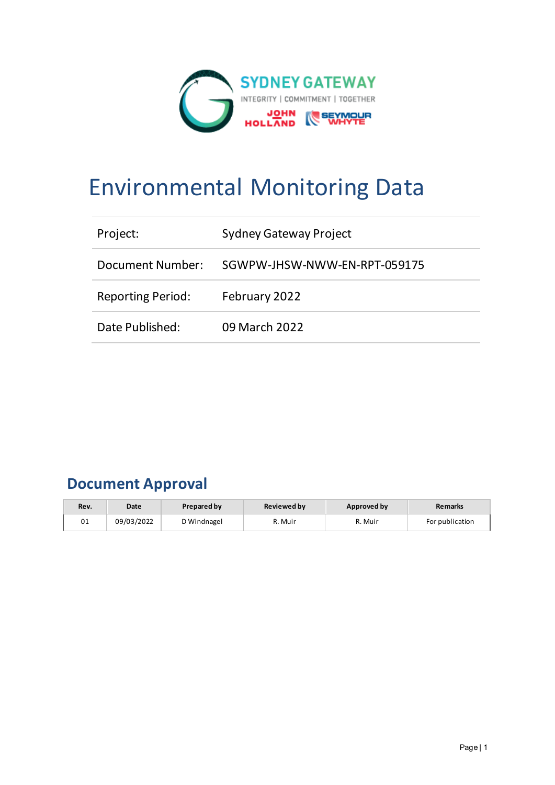

# Environmental Monitoring Data

| Project:                 | <b>Sydney Gateway Project</b> |
|--------------------------|-------------------------------|
| Document Number:         | SGWPW-JHSW-NWW-EN-RPT-059175  |
| <b>Reporting Period:</b> | February 2022                 |
| Date Published:          | 09 March 2022                 |

# **Document Approval**

| Rev. | Date       | <b>Prepared by</b> | <b>Reviewed by</b> | Approved by | <b>Remarks</b>  |
|------|------------|--------------------|--------------------|-------------|-----------------|
| 01   | 09/03/2022 | D Windnagel        | ለ. Muir            | R. Muir     | For publication |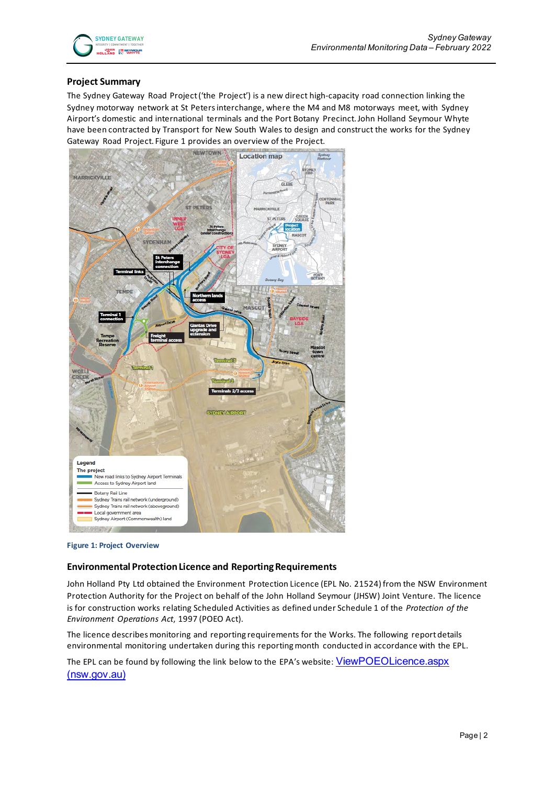

#### **Project Summary**

The Sydney Gateway Road Project ('the Project') is a new direct high-capacity road connection linking the Sydney motorway network at St Peters interchange, where the M4 and M8 motorways meet, with Sydney Airport's domestic and international terminals and the Port Botany Precinct. John Holland Seymour Whyte have been contracted by Transport for New South Wales to design and construct the works for the Sydney Gateway Road Project. Figure 1 provides an overview of the Project.



#### **Figure 1: Project Overview**

#### **Environmental Protection Licence and Reporting Requirements**

John Holland Pty Ltd obtained the Environment Protection Licence (EPL No. 21524) from the NSW Environment Protection Authority for the Project on behalf of the John Holland Seymour (JHSW) Joint Venture. The licence is for construction works relating Scheduled Activities as defined under Schedule 1 of the *Protection of the Environment Operations Act*, 1997 (POEO Act).

The licence describes monitoring and reporting requirements for the Works. The following report details environmental monitoring undertaken during this reporting month conducted in accordance with the EPL.

The EPL can be found by following the link below to the EPA's website: ViewPOEOLicence.aspx [\(nsw.gov.au\)](https://app.epa.nsw.gov.au/prpoeoapp/ViewPOEOLicence.aspx?DOCID=232143&SYSUID=1&LICID=21524)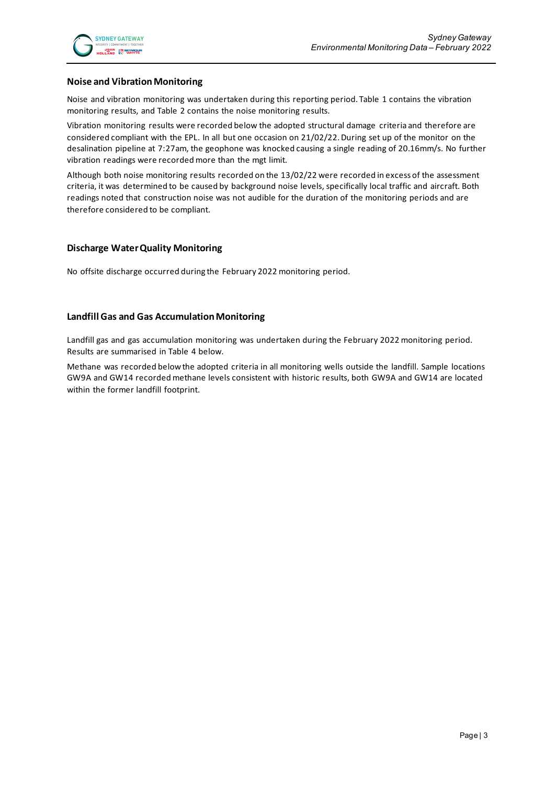#### **Noise and Vibration Monitoring**

Noise and vibration monitoring was undertaken during this reporting period. Table 1 contains the vibration monitoring results, and Table 2 contains the noise monitoring results.

Vibration monitoring results were recorded below the adopted structural damage criteria and therefore are considered compliant with the EPL. In all but one occasion on 21/02/22. During set up of the monitor on the desalination pipeline at 7:27am, the geophone was knocked causing a single reading of 20.16mm/s. No further vibration readings were recorded more than the mgt limit.

Although both noise monitoring results recorded on the 13/02/22 were recorded in excess of the assessment criteria, it was determined to be caused by background noise levels, specifically local traffic and aircraft. Both readings noted that construction noise was not audible for the duration of the monitoring periods and are therefore considered to be compliant.

#### **Discharge Water Quality Monitoring**

No offsite discharge occurred during the February 2022 monitoring period.

#### **Landfill Gas and Gas Accumulation Monitoring**

Landfill gas and gas accumulation monitoring was undertaken during the February 2022 monitoring period. Results are summarised in Table 4 below.

Methane was recorded below the adopted criteria in all monitoring wells outside the landfill. Sample locations GW9A and GW14 recorded methane levels consistent with historic results, both GW9A and GW14 are located within the former landfill footprint.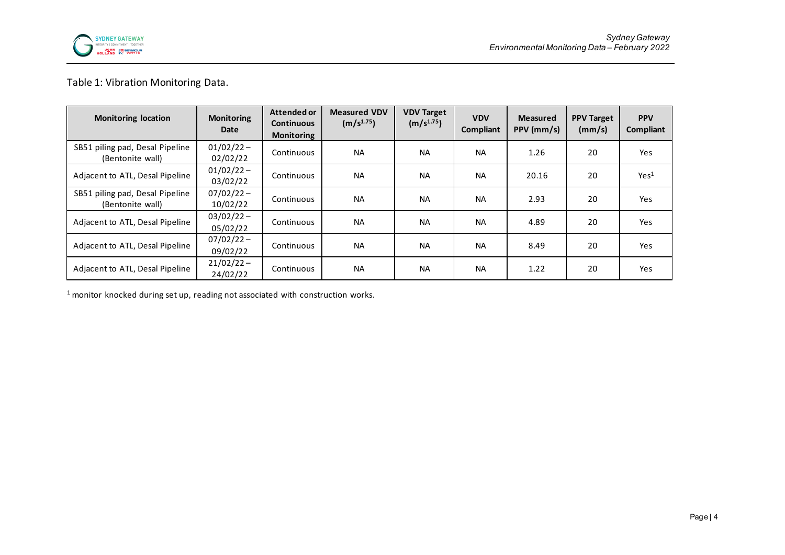

# Table 1: Vibration Monitoring Data.

| <b>Monitoring location</b>                          | <b>Monitoring</b><br>Date | Attended or<br><b>Continuous</b><br><b>Monitoring</b> | <b>Measured VDV</b><br>(m/s <sup>1.75</sup> ) | <b>VDV Target</b><br>(m/s <sup>1.75</sup> ) | <b>VDV</b><br>Compliant | <b>Measured</b><br>PPV (mm/s) | <b>PPV Target</b><br>(mm/s) | <b>PPV</b><br>Compliant |
|-----------------------------------------------------|---------------------------|-------------------------------------------------------|-----------------------------------------------|---------------------------------------------|-------------------------|-------------------------------|-----------------------------|-------------------------|
| SB51 piling pad, Desal Pipeline<br>(Bentonite wall) | $01/02/22 -$<br>02/02/22  | Continuous                                            | <b>NA</b>                                     | <b>NA</b>                                   | <b>NA</b>               | 1.26                          | 20                          | Yes                     |
| Adjacent to ATL, Desal Pipeline                     | $01/02/22 -$<br>03/02/22  | Continuous                                            | <b>NA</b>                                     | <b>NA</b>                                   | <b>NA</b>               | 20.16                         | 20                          | Yes <sup>1</sup>        |
| SB51 piling pad, Desal Pipeline<br>(Bentonite wall) | $07/02/22 -$<br>10/02/22  | Continuous                                            | <b>NA</b>                                     | <b>NA</b>                                   | <b>NA</b>               | 2.93                          | 20                          | Yes                     |
| Adjacent to ATL, Desal Pipeline                     | $03/02/22 -$<br>05/02/22  | Continuous                                            | <b>NA</b>                                     | <b>NA</b>                                   | <b>NA</b>               | 4.89                          | 20                          | Yes                     |
| Adjacent to ATL, Desal Pipeline                     | $07/02/22 -$<br>09/02/22  | Continuous                                            | <b>NA</b>                                     | <b>NA</b>                                   | <b>NA</b>               | 8.49                          | 20                          | <b>Yes</b>              |
| Adjacent to ATL, Desal Pipeline                     | $21/02/22 -$<br>24/02/22  | Continuous                                            | <b>NA</b>                                     | <b>NA</b>                                   | <b>NA</b>               | 1.22                          | 20                          | Yes                     |

<sup>1</sup> monitor knocked during set up, reading not associated with construction works.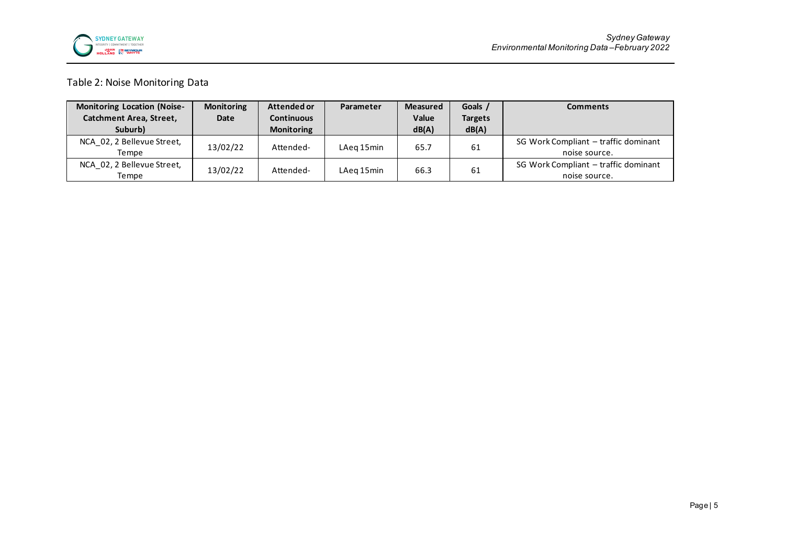

# Table 2: Noise Monitoring Data

| <b>Monitoring Location (Noise-</b> | <b>Monitoring</b> | Attended or       | Parameter  | <b>Measured</b> | Goals /        | <b>Comments</b>                      |
|------------------------------------|-------------------|-------------------|------------|-----------------|----------------|--------------------------------------|
| Catchment Area, Street,            | Date              | <b>Continuous</b> |            | Value           | <b>Targets</b> |                                      |
| Suburb)                            |                   | <b>Monitoring</b> |            | dB(A)           | dB(A)          |                                      |
| NCA 02, 2 Bellevue Street,         | 13/02/22          | Attended-         | LAeg 15min | 65.7            | 61             | SG Work Compliant - traffic dominant |
| Tempe                              |                   |                   |            |                 |                | noise source.                        |
| NCA 02, 2 Bellevue Street,         | 13/02/22          | Attended-         | LAeg 15min | 66.3            | 61             | SG Work Compliant – traffic dominant |
| Tempe                              |                   |                   |            |                 |                | noise source.                        |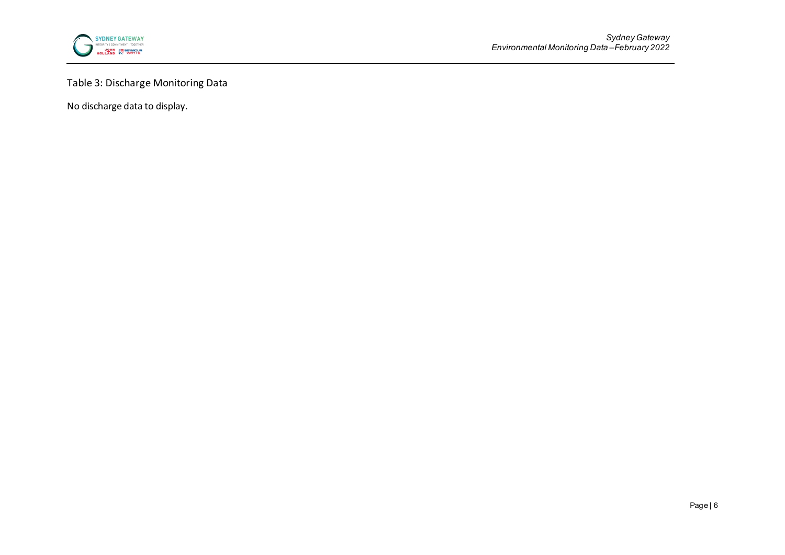

# Table 3: Discharge Monitoring Data

No discharge data to display.